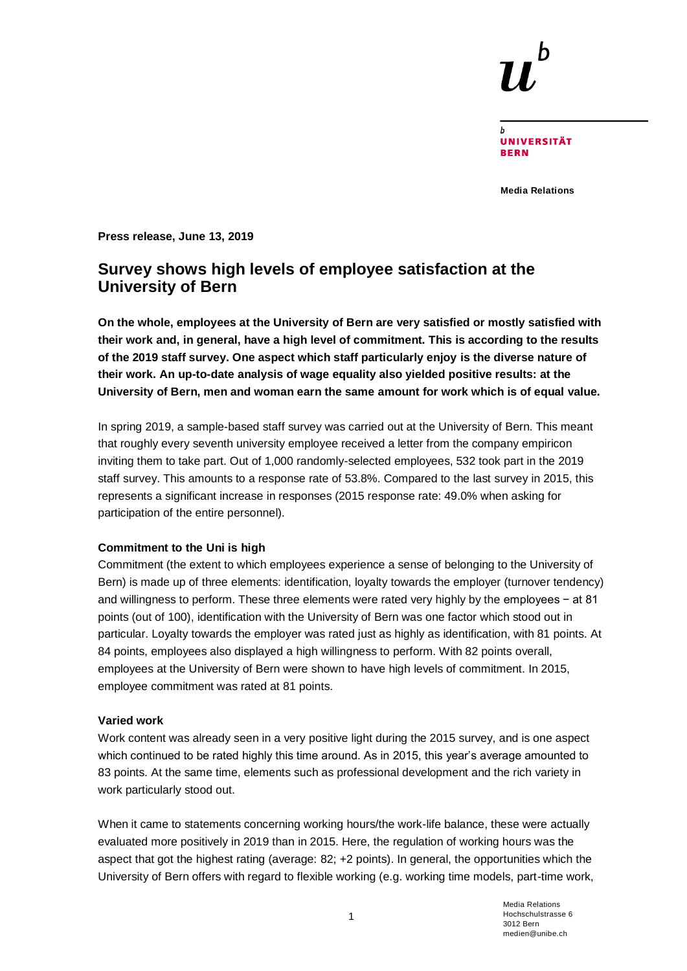

**UNIVERSITÄT BERN** 

**Media Relations**

**Press release, June 13, 2019**

# **Survey shows high levels of employee satisfaction at the University of Bern**

**On the whole, employees at the University of Bern are very satisfied or mostly satisfied with their work and, in general, have a high level of commitment. This is according to the results of the 2019 staff survey. One aspect which staff particularly enjoy is the diverse nature of their work. An up-to-date analysis of wage equality also yielded positive results: at the University of Bern, men and woman earn the same amount for work which is of equal value.**

In spring 2019, a sample-based staff survey was carried out at the University of Bern. This meant that roughly every seventh university employee received a letter from the company empiricon inviting them to take part. Out of 1,000 randomly-selected employees, 532 took part in the 2019 staff survey. This amounts to a response rate of 53.8%. Compared to the last survey in 2015, this represents a significant increase in responses (2015 response rate: 49.0% when asking for participation of the entire personnel).

#### **Commitment to the Uni is high**

Commitment (the extent to which employees experience a sense of belonging to the University of Bern) is made up of three elements: identification, loyalty towards the employer (turnover tendency) and willingness to perform. These three elements were rated very highly by the employees − at 81 points (out of 100), identification with the University of Bern was one factor which stood out in particular. Loyalty towards the employer was rated just as highly as identification, with 81 points. At 84 points, employees also displayed a high willingness to perform. With 82 points overall, employees at the University of Bern were shown to have high levels of commitment. In 2015, employee commitment was rated at 81 points.

#### **Varied work**

Work content was already seen in a very positive light during the 2015 survey, and is one aspect which continued to be rated highly this time around. As in 2015, this year's average amounted to 83 points. At the same time, elements such as professional development and the rich variety in work particularly stood out.

When it came to statements concerning working hours/the work-life balance, these were actually evaluated more positively in 2019 than in 2015. Here, the regulation of working hours was the aspect that got the highest rating (average: 82; +2 points). In general, the opportunities which the University of Bern offers with regard to flexible working (e.g. working time models, part-time work,

1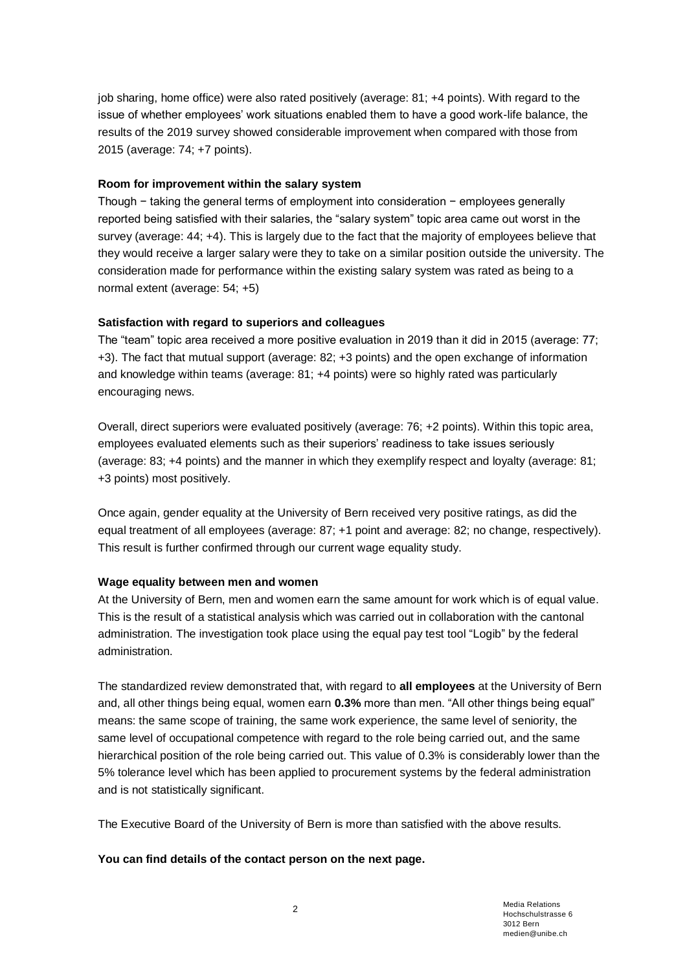job sharing, home office) were also rated positively (average: 81; +4 points). With regard to the issue of whether employees' work situations enabled them to have a good work-life balance, the results of the 2019 survey showed considerable improvement when compared with those from 2015 (average: 74; +7 points).

### **Room for improvement within the salary system**

Though − taking the general terms of employment into consideration − employees generally reported being satisfied with their salaries, the "salary system" topic area came out worst in the survey (average: 44; +4). This is largely due to the fact that the majority of employees believe that they would receive a larger salary were they to take on a similar position outside the university. The consideration made for performance within the existing salary system was rated as being to a normal extent (average: 54; +5)

### **Satisfaction with regard to superiors and colleagues**

The "team" topic area received a more positive evaluation in 2019 than it did in 2015 (average: 77; +3). The fact that mutual support (average: 82; +3 points) and the open exchange of information and knowledge within teams (average: 81; +4 points) were so highly rated was particularly encouraging news.

Overall, direct superiors were evaluated positively (average: 76; +2 points). Within this topic area, employees evaluated elements such as their superiors' readiness to take issues seriously (average: 83; +4 points) and the manner in which they exemplify respect and loyalty (average: 81; +3 points) most positively.

Once again, gender equality at the University of Bern received very positive ratings, as did the equal treatment of all employees (average: 87; +1 point and average: 82; no change, respectively). This result is further confirmed through our current wage equality study.

#### **Wage equality between men and women**

At the University of Bern, men and women earn the same amount for work which is of equal value. This is the result of a statistical analysis which was carried out in collaboration with the cantonal administration. The investigation took place using the equal pay test tool "Logib" by the federal administration.

The standardized review demonstrated that, with regard to **all employees** at the University of Bern and, all other things being equal, women earn **0.3%** more than men. "All other things being equal" means: the same scope of training, the same work experience, the same level of seniority, the same level of occupational competence with regard to the role being carried out, and the same hierarchical position of the role being carried out. This value of 0.3% is considerably lower than the 5% tolerance level which has been applied to procurement systems by the federal administration and is not statistically significant.

The Executive Board of the University of Bern is more than satisfied with the above results.

#### **You can find details of the contact person on the next page.**